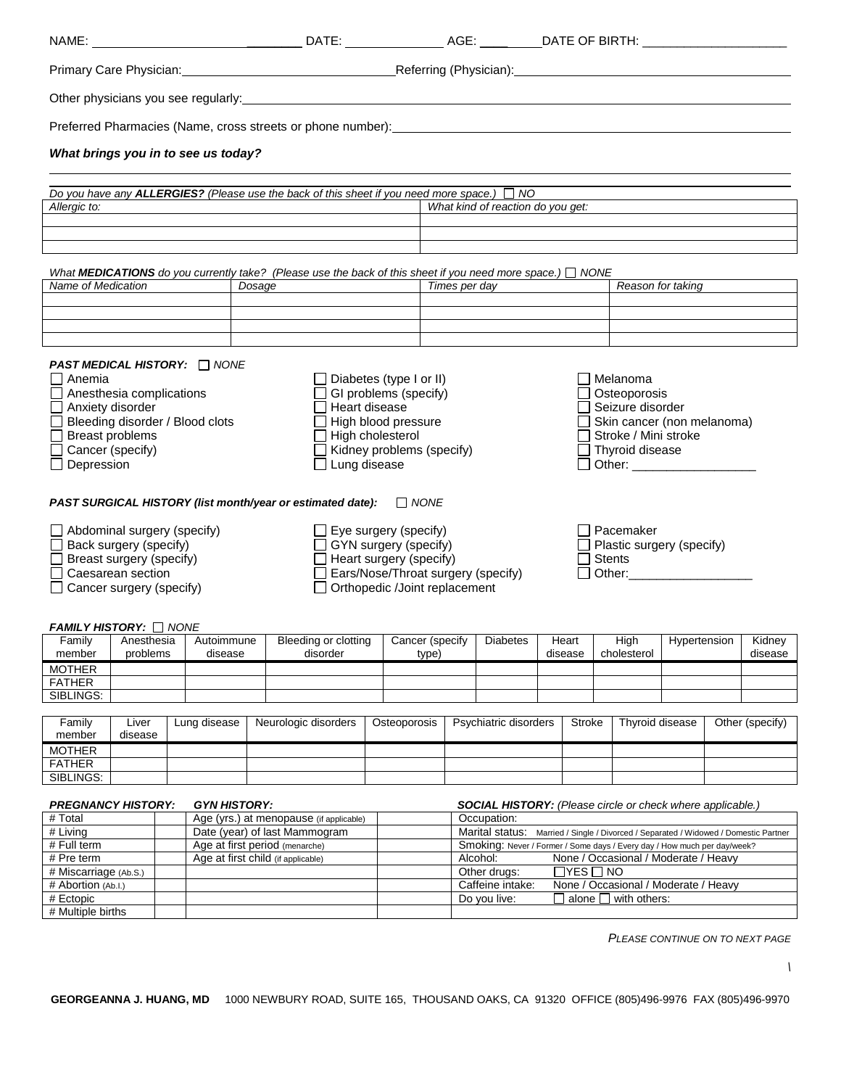| Primary Care Physician: 1990 1991 1991 - Referring (Physician): 1991 1992 1993 1994 1994 1995 1996 1997 1998 1                                                                                                                                                                                                                                                                                                                                                                                                                                                                                                                                                                                                                                                                                                                                                                                                                                                                                                                                                                                               |                        |                                                                 |              |                                         |                                                      |  |              |                                                                                                                                  |                                                                                                                              |  |                  |  |                     |              |  |                   |  |
|--------------------------------------------------------------------------------------------------------------------------------------------------------------------------------------------------------------------------------------------------------------------------------------------------------------------------------------------------------------------------------------------------------------------------------------------------------------------------------------------------------------------------------------------------------------------------------------------------------------------------------------------------------------------------------------------------------------------------------------------------------------------------------------------------------------------------------------------------------------------------------------------------------------------------------------------------------------------------------------------------------------------------------------------------------------------------------------------------------------|------------------------|-----------------------------------------------------------------|--------------|-----------------------------------------|------------------------------------------------------|--|--------------|----------------------------------------------------------------------------------------------------------------------------------|------------------------------------------------------------------------------------------------------------------------------|--|------------------|--|---------------------|--------------|--|-------------------|--|
|                                                                                                                                                                                                                                                                                                                                                                                                                                                                                                                                                                                                                                                                                                                                                                                                                                                                                                                                                                                                                                                                                                              |                        |                                                                 |              |                                         |                                                      |  |              |                                                                                                                                  |                                                                                                                              |  |                  |  |                     |              |  |                   |  |
|                                                                                                                                                                                                                                                                                                                                                                                                                                                                                                                                                                                                                                                                                                                                                                                                                                                                                                                                                                                                                                                                                                              |                        |                                                                 |              |                                         |                                                      |  |              |                                                                                                                                  |                                                                                                                              |  |                  |  |                     |              |  |                   |  |
| What brings you in to see us today?                                                                                                                                                                                                                                                                                                                                                                                                                                                                                                                                                                                                                                                                                                                                                                                                                                                                                                                                                                                                                                                                          |                        |                                                                 |              |                                         |                                                      |  |              |                                                                                                                                  |                                                                                                                              |  |                  |  |                     |              |  |                   |  |
|                                                                                                                                                                                                                                                                                                                                                                                                                                                                                                                                                                                                                                                                                                                                                                                                                                                                                                                                                                                                                                                                                                              |                        |                                                                 |              |                                         |                                                      |  |              |                                                                                                                                  |                                                                                                                              |  |                  |  |                     |              |  |                   |  |
| Do you have any <b>ALLERGIES?</b> (Please use the back of this sheet if you need more space.) $\Box$ NO<br>Allergic to:                                                                                                                                                                                                                                                                                                                                                                                                                                                                                                                                                                                                                                                                                                                                                                                                                                                                                                                                                                                      |                        |                                                                 |              |                                         |                                                      |  |              | What kind of reaction do you get:                                                                                                |                                                                                                                              |  |                  |  |                     |              |  |                   |  |
|                                                                                                                                                                                                                                                                                                                                                                                                                                                                                                                                                                                                                                                                                                                                                                                                                                                                                                                                                                                                                                                                                                              |                        |                                                                 |              |                                         |                                                      |  |              |                                                                                                                                  |                                                                                                                              |  |                  |  |                     |              |  |                   |  |
|                                                                                                                                                                                                                                                                                                                                                                                                                                                                                                                                                                                                                                                                                                                                                                                                                                                                                                                                                                                                                                                                                                              |                        |                                                                 |              |                                         |                                                      |  |              |                                                                                                                                  |                                                                                                                              |  |                  |  |                     |              |  |                   |  |
| Name of Medication                                                                                                                                                                                                                                                                                                                                                                                                                                                                                                                                                                                                                                                                                                                                                                                                                                                                                                                                                                                                                                                                                           |                        |                                                                 |              | Dosage                                  |                                                      |  |              | What MEDICATIONS do you currently take? (Please use the back of this sheet if you need more space.) $\Box$ NONE<br>Times per day |                                                                                                                              |  |                  |  | Reason for taking   |              |  |                   |  |
|                                                                                                                                                                                                                                                                                                                                                                                                                                                                                                                                                                                                                                                                                                                                                                                                                                                                                                                                                                                                                                                                                                              |                        |                                                                 |              |                                         |                                                      |  |              |                                                                                                                                  |                                                                                                                              |  |                  |  |                     |              |  |                   |  |
|                                                                                                                                                                                                                                                                                                                                                                                                                                                                                                                                                                                                                                                                                                                                                                                                                                                                                                                                                                                                                                                                                                              |                        |                                                                 |              |                                         |                                                      |  |              |                                                                                                                                  |                                                                                                                              |  |                  |  |                     |              |  |                   |  |
| <b>PAST MEDICAL HISTORY: INONE</b><br>$\Box$ Anemia<br>$\Box$ Diabetes (type I or II)<br>Melanoma<br>$\Box$ Anesthesia complications<br>GI problems (specify)<br>Osteoporosis<br>□ Anxiety disorder<br>□ Heart disease<br>$\Box$ Seizure disorder<br>Bleeding disorder / Blood clots<br>High blood pressure<br>$\Box$ Skin cancer (non melanoma)<br><b>Breast problems</b><br>$\Box$ High cholesterol<br>Stroke / Mini stroke<br>Kidney problems (specify)<br>□ Cancer (specify)<br>$\Box$ Thyroid disease<br>□ Other: ________________<br>$\Box$ Depression<br>$\Box$ Lung disease<br><b>PAST SURGICAL HISTORY (list month/year or estimated date):</b> $\Box$ NONE<br>$\Box$ Pacemaker<br>$\Box$ Abdominal surgery (specify)<br>$\Box$ Eye surgery (specify)<br>GYN surgery (specify)<br>$\Box$ Back surgery (specify)<br>Plastic surgery (specify)<br>$\Box$ Heart surgery (specify)<br>Breast surgery (specify)<br>$\Box$ Stents<br>Ears/Nose/Throat surgery (specify)<br>Other: William Communication<br>$\Box$ Caesarean section<br>□ Orthopedic /Joint replacement<br>$\Box$ Cancer surgery (specify) |                        |                                                                 |              |                                         |                                                      |  |              |                                                                                                                                  |                                                                                                                              |  |                  |  |                     |              |  |                   |  |
| <b>FAMILY HISTORY: ON NONE</b><br>Family<br>member                                                                                                                                                                                                                                                                                                                                                                                                                                                                                                                                                                                                                                                                                                                                                                                                                                                                                                                                                                                                                                                           | Anesthesia<br>problems | Autoimmune<br>disease                                           |              |                                         | Bleeding or clotting   Cancer (specify  <br>disorder |  | type)        |                                                                                                                                  | Diabetes                                                                                                                     |  | Heart<br>disease |  | High<br>cholesterol | Hypertension |  | Kidney<br>disease |  |
| <b>MOTHER</b>                                                                                                                                                                                                                                                                                                                                                                                                                                                                                                                                                                                                                                                                                                                                                                                                                                                                                                                                                                                                                                                                                                |                        |                                                                 |              |                                         |                                                      |  |              |                                                                                                                                  |                                                                                                                              |  |                  |  |                     |              |  |                   |  |
| <b>FATHER</b><br>SIBLINGS:                                                                                                                                                                                                                                                                                                                                                                                                                                                                                                                                                                                                                                                                                                                                                                                                                                                                                                                                                                                                                                                                                   |                        |                                                                 |              |                                         |                                                      |  |              |                                                                                                                                  |                                                                                                                              |  |                  |  |                     |              |  |                   |  |
| Family<br>member                                                                                                                                                                                                                                                                                                                                                                                                                                                                                                                                                                                                                                                                                                                                                                                                                                                                                                                                                                                                                                                                                             | Liver<br>disease       |                                                                 | Lung disease |                                         | Neurologic disorders                                 |  | Osteoporosis |                                                                                                                                  | Psychiatric disorders                                                                                                        |  | <b>Stroke</b>    |  | Thyroid disease     |              |  | Other (specify)   |  |
| <b>MOTHER</b>                                                                                                                                                                                                                                                                                                                                                                                                                                                                                                                                                                                                                                                                                                                                                                                                                                                                                                                                                                                                                                                                                                |                        |                                                                 |              |                                         |                                                      |  |              |                                                                                                                                  |                                                                                                                              |  |                  |  |                     |              |  |                   |  |
| <b>FATHER</b><br>SIBLINGS:                                                                                                                                                                                                                                                                                                                                                                                                                                                                                                                                                                                                                                                                                                                                                                                                                                                                                                                                                                                                                                                                                   |                        |                                                                 |              |                                         |                                                      |  |              |                                                                                                                                  |                                                                                                                              |  |                  |  |                     |              |  |                   |  |
| <b>PREGNANCY HISTORY:</b><br><b>GYN HISTORY:</b><br><b>SOCIAL HISTORY:</b> (Please circle or check where applicable.)                                                                                                                                                                                                                                                                                                                                                                                                                                                                                                                                                                                                                                                                                                                                                                                                                                                                                                                                                                                        |                        |                                                                 |              |                                         |                                                      |  |              |                                                                                                                                  |                                                                                                                              |  |                  |  |                     |              |  |                   |  |
| # Total                                                                                                                                                                                                                                                                                                                                                                                                                                                                                                                                                                                                                                                                                                                                                                                                                                                                                                                                                                                                                                                                                                      |                        |                                                                 |              | Age (yrs.) at menopause (if applicable) |                                                      |  |              | Occupation:                                                                                                                      |                                                                                                                              |  |                  |  |                     |              |  |                   |  |
| # Living<br># Full term                                                                                                                                                                                                                                                                                                                                                                                                                                                                                                                                                                                                                                                                                                                                                                                                                                                                                                                                                                                                                                                                                      |                        | Date (year) of last Mammogram<br>Age at first period (menarche) |              |                                         |                                                      |  |              | Marital status:<br>Married / Single / Divorced / Separated / Widowed / Domestic Partner                                          |                                                                                                                              |  |                  |  |                     |              |  |                   |  |
| # Pre term                                                                                                                                                                                                                                                                                                                                                                                                                                                                                                                                                                                                                                                                                                                                                                                                                                                                                                                                                                                                                                                                                                   |                        |                                                                 |              | Age at first child (if applicable)      |                                                      |  |              |                                                                                                                                  | Smoking: Never / Former / Some days / Every day / How much per day/week?<br>None / Occasional / Moderate / Heavy<br>Alcohol: |  |                  |  |                     |              |  |                   |  |
| # Miscarriage (Ab.S.)                                                                                                                                                                                                                                                                                                                                                                                                                                                                                                                                                                                                                                                                                                                                                                                                                                                                                                                                                                                                                                                                                        |                        |                                                                 |              |                                         |                                                      |  |              | $\Box$ yes $\Box$ no<br>Other drugs:                                                                                             |                                                                                                                              |  |                  |  |                     |              |  |                   |  |

*PLEASE CONTINUE ON TO NEXT PAGE*

# Abortion (Ab.I.) Caffeine intake: None / Occasional / Moderate / Heavy

# Ectopic Do you live: alone with others:

# Multiple births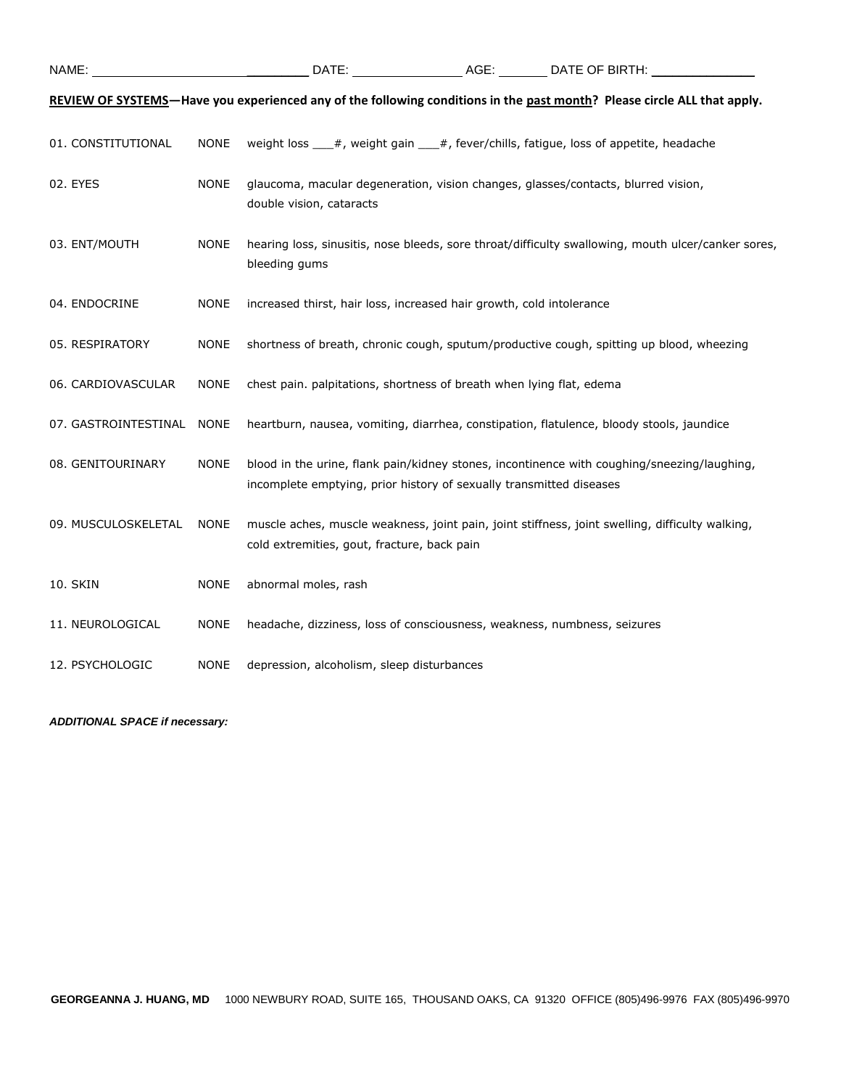|                      |             |                                                                                                               | REVIEW OF SYSTEMS-Have you experienced any of the following conditions in the past month? Please circle ALL that apply. |
|----------------------|-------------|---------------------------------------------------------------------------------------------------------------|-------------------------------------------------------------------------------------------------------------------------|
| 01. CONSTITUTIONAL   | <b>NONE</b> | weight loss ___#, weight gain ___#, fever/chills, fatigue, loss of appetite, headache                         |                                                                                                                         |
| 02. EYES             | <b>NONE</b> | glaucoma, macular degeneration, vision changes, glasses/contacts, blurred vision,<br>double vision, cataracts |                                                                                                                         |
| 03. ENT/MOUTH        | <b>NONE</b> | bleeding gums                                                                                                 | hearing loss, sinusitis, nose bleeds, sore throat/difficulty swallowing, mouth ulcer/canker sores,                      |
| 04. ENDOCRINE        | <b>NONE</b> | increased thirst, hair loss, increased hair growth, cold intolerance                                          |                                                                                                                         |
| 05. RESPIRATORY      | <b>NONE</b> |                                                                                                               | shortness of breath, chronic cough, sputum/productive cough, spitting up blood, wheezing                                |
| 06. CARDIOVASCULAR   | <b>NONE</b> | chest pain. palpitations, shortness of breath when lying flat, edema                                          |                                                                                                                         |
| 07. GASTROINTESTINAL | <b>NONE</b> |                                                                                                               | heartburn, nausea, vomiting, diarrhea, constipation, flatulence, bloody stools, jaundice                                |
| 08. GENITOURINARY    | <b>NONE</b> | incomplete emptying, prior history of sexually transmitted diseases                                           | blood in the urine, flank pain/kidney stones, incontinence with coughing/sneezing/laughing,                             |
| 09. MUSCULOSKELETAL  | <b>NONE</b> | cold extremities, gout, fracture, back pain                                                                   | muscle aches, muscle weakness, joint pain, joint stiffness, joint swelling, difficulty walking,                         |
| 10. SKIN             | <b>NONE</b> | abnormal moles, rash                                                                                          |                                                                                                                         |
| 11. NEUROLOGICAL     | <b>NONE</b> | headache, dizziness, loss of consciousness, weakness, numbness, seizures                                      |                                                                                                                         |
| 12. PSYCHOLOGIC      | <b>NONE</b> | depression, alcoholism, sleep disturbances                                                                    |                                                                                                                         |

*ADDITIONAL SPACE if necessary:*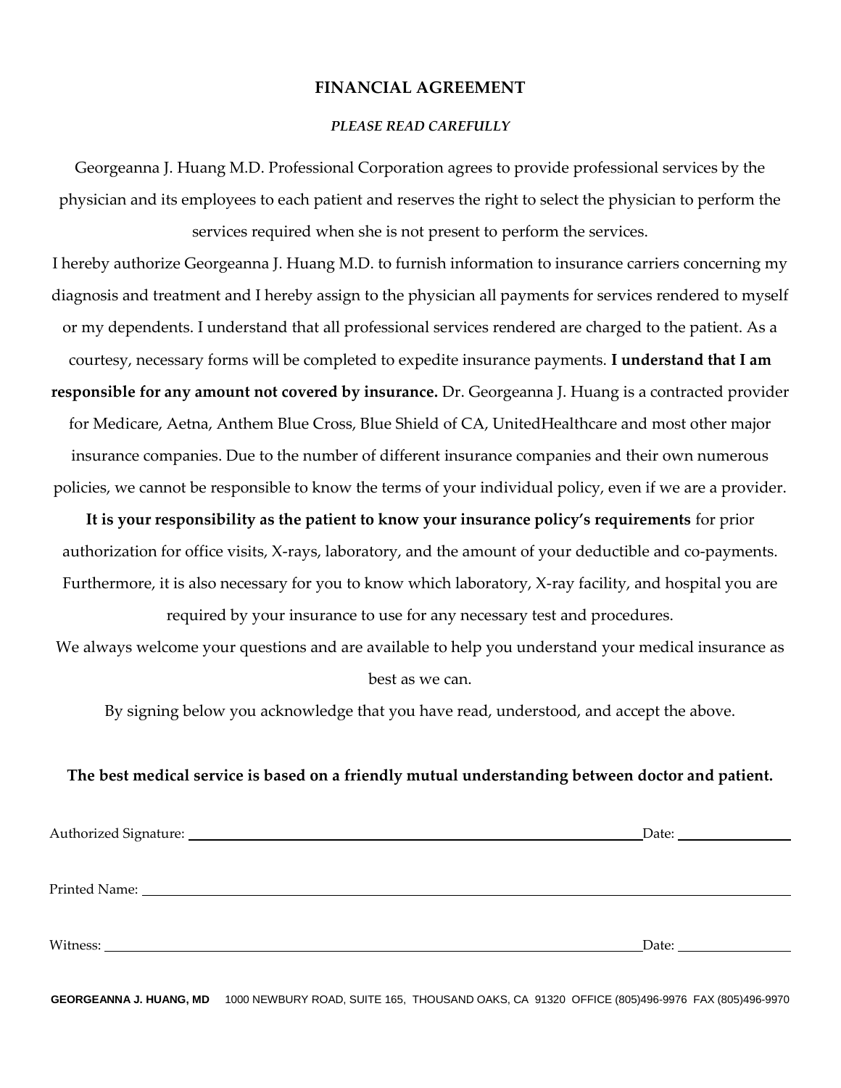### **FINANCIAL AGREEMENT**

#### *PLEASE READ CAREFULLY*

Georgeanna J. Huang M.D. Professional Corporation agrees to provide professional services by the physician and its employees to each patient and reserves the right to select the physician to perform the services required when she is not present to perform the services.

I hereby authorize Georgeanna J. Huang M.D. to furnish information to insurance carriers concerning my diagnosis and treatment and I hereby assign to the physician all payments for services rendered to myself or my dependents. I understand that all professional services rendered are charged to the patient. As a courtesy, necessary forms will be completed to expedite insurance payments. **I understand that I am responsible for any amount not covered by insurance.** Dr. Georgeanna J. Huang is a contracted provider for Medicare, Aetna, Anthem Blue Cross, Blue Shield of CA, UnitedHealthcare and most other major insurance companies. Due to the number of different insurance companies and their own numerous policies, we cannot be responsible to know the terms of your individual policy, even if we are a provider.

**It is your responsibility as the patient to know your insurance policy's requirements** for prior authorization for office visits, X-rays, laboratory, and the amount of your deductible and co-payments. Furthermore, it is also necessary for you to know which laboratory, X-ray facility, and hospital you are

required by your insurance to use for any necessary test and procedures. We always welcome your questions and are available to help you understand your medical insurance as best as we can.

By signing below you acknowledge that you have read, understood, and accept the above.

### **The best medical service is based on a friendly mutual understanding between doctor and patient.**

| Authorized Signature: 1988 and 2008 and 2008 and 2008 and 2008 and 2008 and 2008 and 2008 and 2008 and 2008 and 2008 and 2008 and 2008 and 2008 and 2008 and 2008 and 2008 and 2008 and 2008 and 2008 and 2008 and 2008 and 20 |                                                                                                                                                                                                                                |
|--------------------------------------------------------------------------------------------------------------------------------------------------------------------------------------------------------------------------------|--------------------------------------------------------------------------------------------------------------------------------------------------------------------------------------------------------------------------------|
|                                                                                                                                                                                                                                |                                                                                                                                                                                                                                |
|                                                                                                                                                                                                                                |                                                                                                                                                                                                                                |
|                                                                                                                                                                                                                                |                                                                                                                                                                                                                                |
|                                                                                                                                                                                                                                |                                                                                                                                                                                                                                |
|                                                                                                                                                                                                                                | Date: the contract of the contract of the contract of the contract of the contract of the contract of the contract of the contract of the contract of the contract of the contract of the contract of the contract of the cont |
|                                                                                                                                                                                                                                |                                                                                                                                                                                                                                |

**GEORGEANNA J. HUANG, MD** 1000 NEWBURY ROAD, SUITE 165, THOUSAND OAKS, CA 91320 OFFICE (805)496-9976 FAX (805)496-9970